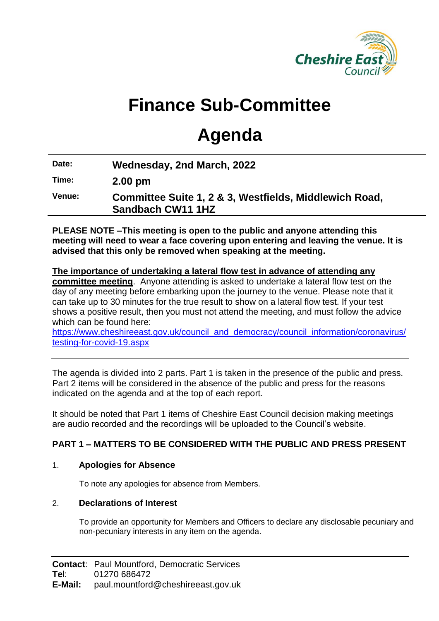

# **Finance Sub-Committee**

# **Agenda**

**Date: Wednesday, 2nd March, 2022**

**Time: 2.00 pm**

**Venue: Committee Suite 1, 2 & 3, Westfields, Middlewich Road, Sandbach CW11 1HZ**

**PLEASE NOTE –This meeting is open to the public and anyone attending this meeting will need to wear a face covering upon entering and leaving the venue. It is advised that this only be removed when speaking at the meeting.**

#### **The importance of undertaking a lateral flow test in advance of attending any committee meeting**. Anyone attending is asked to undertake a lateral flow test on the day of any meeting before embarking upon the journey to the venue. Please note that it can take up to 30 minutes for the true result to show on a lateral flow test. If your test shows a positive result, then you must not attend the meeting, and must follow the advice which can be found here:

[https://www.cheshireeast.gov.uk/council\\_and\\_democracy/council\\_information/coronavirus/](https://www.cheshireeast.gov.uk/council_and_democracy/council_information/coronavirus/testing-for-covid-19.aspx) [testing-for-covid-19.aspx](https://www.cheshireeast.gov.uk/council_and_democracy/council_information/coronavirus/testing-for-covid-19.aspx)

The agenda is divided into 2 parts. Part 1 is taken in the presence of the public and press. Part 2 items will be considered in the absence of the public and press for the reasons indicated on the agenda and at the top of each report.

It should be noted that Part 1 items of Cheshire East Council decision making meetings are audio recorded and the recordings will be uploaded to the Council's website.

## **PART 1 – MATTERS TO BE CONSIDERED WITH THE PUBLIC AND PRESS PRESENT**

### 1. **Apologies for Absence**

To note any apologies for absence from Members.

### 2. **Declarations of Interest**

To provide an opportunity for Members and Officers to declare any disclosable pecuniary and non-pecuniary interests in any item on the agenda.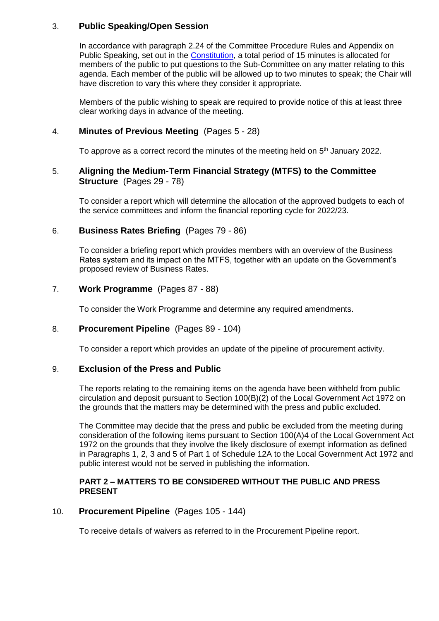#### 3. **Public Speaking/Open Session**

In accordance with paragraph 2.24 of the Committee Procedure Rules and Appendix on Public Speaking, set out in the [Constitution,](https://www.cheshireeast.gov.uk/council_and_democracy/your_council/constitution.aspx) a total period of 15 minutes is allocated for members of the public to put questions to the Sub-Committee on any matter relating to this agenda. Each member of the public will be allowed up to two minutes to speak; the Chair will have discretion to vary this where they consider it appropriate.

Members of the public wishing to speak are required to provide notice of this at least three clear working days in advance of the meeting.

#### 4. **Minutes of Previous Meeting** (Pages 5 - 28)

To approve as a correct record the minutes of the meeting held on  $5<sup>th</sup>$  January 2022.

#### 5. **Aligning the Medium-Term Financial Strategy (MTFS) to the Committee Structure** (Pages 29 - 78)

To consider a report which will determine the allocation of the approved budgets to each of the service committees and inform the financial reporting cycle for 2022/23.

#### 6. **Business Rates Briefing** (Pages 79 - 86)

To consider a briefing report which provides members with an overview of the Business Rates system and its impact on the MTFS, together with an update on the Government's proposed review of Business Rates.

#### 7. **Work Programme** (Pages 87 - 88)

To consider the Work Programme and determine any required amendments.

#### 8. **Procurement Pipeline** (Pages 89 - 104)

To consider a report which provides an update of the pipeline of procurement activity.

#### 9. **Exclusion of the Press and Public**

The reports relating to the remaining items on the agenda have been withheld from public circulation and deposit pursuant to Section 100(B)(2) of the Local Government Act 1972 on the grounds that the matters may be determined with the press and public excluded.

The Committee may decide that the press and public be excluded from the meeting during consideration of the following items pursuant to Section 100(A)4 of the Local Government Act 1972 on the grounds that they involve the likely disclosure of exempt information as defined in Paragraphs 1, 2, 3 and 5 of Part 1 of Schedule 12A to the Local Government Act 1972 and public interest would not be served in publishing the information.

#### **PART 2 – MATTERS TO BE CONSIDERED WITHOUT THE PUBLIC AND PRESS PRESENT**

#### 10. **Procurement Pipeline** (Pages 105 - 144)

To receive details of waivers as referred to in the Procurement Pipeline report.